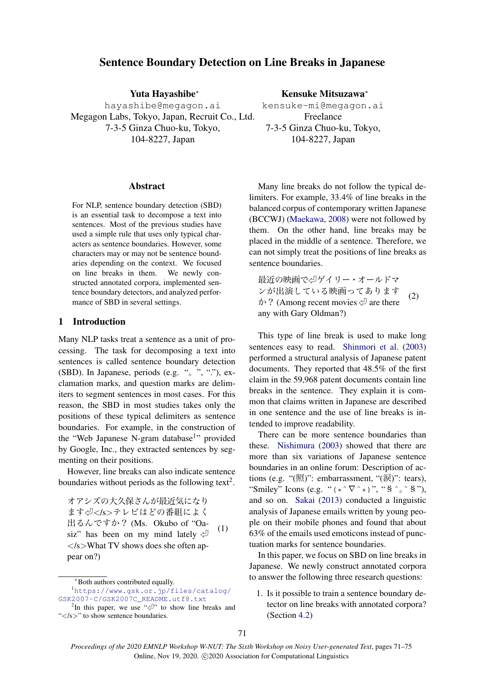# Sentence Boundary Detection on Line Breaks in Japanese

Yuta Hayashibe*<sup>∗</sup>*

hayashibe@megagon.ai Megagon Labs, Tokyo, Japan, Recruit Co., Ltd. 7-3-5 Ginza Chuo-ku, Tokyo, 104-8227, Japan

#### Abstract

For NLP, sentence boundary detection (SBD) is an essential task to decompose a text into sentences. Most of the previous studies have used a simple rule that uses only typical characters as sentence boundaries. However, some characters may or may not be sentence boundaries depending on the context. We focused on line breaks in them. We newly constructed annotated corpora, implemented sentence boundary detectors, and analyzed performance of SBD in several settings.

## 1 Introduction

Many NLP tasks treat a sentence as a unit of processing. The task for decomposing a text into sentences is called sentence boundary detection (SBD). In Japanese, periods (e.g. "。", "."), exclamation marks, and question marks are delimiters to segment sentences in most cases. For this reason, the SBD in most studies takes only the positions of these typical delimiters as sentence boundaries. For example, in the construction of the "Web Japanese N-gram database<sup>1</sup>" provided by Google, Inc., they extracted sentences by segmenting on their positions.

However, line breaks can also indicate sentence boundaries without periods as the following text<sup>2</sup>.

オアシズの大久保さんが最近気になり ます㾑*<*/s*>*テレビはどの番組によく 出るんですか? (Ms. Okubo of "Oasiz" has been on my mind lately  $\Diamond$ *<*/s*>*What TV shows does she often appear on?) (1)

*<sup>∗</sup>*Both authors contributed equally.

Kensuke Mitsuzawa*<sup>∗</sup>* kensuke-mi@megagon.ai Freelance 7-3-5 Ginza Chuo-ku, Tokyo, 104-8227, Japan

Many line breaks do not follow the typical delimiters. For example, 33.4% of line breaks in the balanced corpus of contemporary written Japanese (BCCWJ) [\(Maekawa](#page-4-0), [2008\)](#page-4-0) were not followed by them. On the other hand, line breaks may be placed in the middle of a sentence. Therefore, we can not simply treat the positions of line breaks as sentence boundaries.

最近の映画で<リゲイリー・オールドマ ンが出演している映画ってあります  $\phi$ ? (Among recent movies  $\varphi$  are there any with Gary Oldman?) (2)

This type of line break is used to make long sentences easy to read. [Shinmori et al.](#page-4-1) [\(2003\)](#page-4-1) performed a structural analysis of Japanese patent documents. They reported that 48.5% of the first claim in the 59,968 patent documents contain line breaks in the sentence. They explain it is common that claims written in Japanese are described in one sentence and the use of line breaks is intended to improve readability.

There can be more sentence boundaries than these. [Nishimura](#page-4-2) [\(2003](#page-4-2)) showed that there are more than six variations of Japanese sentence boundaries in an online forum: Description of actions (e.g. "(照)": embarrassment, "(涙)": tears), "Smiley" Icons (e.g. " $(* \tilde{\nabla}^**)$ ", " $\tilde{\mathcal{S}} \tilde{\mathcal{S}}$ "), and so on. [Sakai](#page-4-3) [\(2013](#page-4-3)) conducted a linguistic analysis of Japanese emails written by young people on their mobile phones and found that about 63% of the emails used emoticons instead of punctuation marks for sentence boundaries.

In this paper, we focus on SBD on line breaks in Japanese. We newly construct annotated corpora to answer the following three research questions:

1. Is it possible to train a sentence boundary detector on line breaks with annotated corpora? (Section [4.2\)](#page-2-0)

<sup>1</sup>[https://www.gsk.or.jp/files/catalog/](https://www.gsk.or.jp/files/catalog/GSK2007-C/GSK2007C_README.utf8.txt) [GSK2007-C/GSK2007C\\_README.utf8.txt](https://www.gsk.or.jp/files/catalog/GSK2007-C/GSK2007C_README.utf8.txt)

<sup>&</sup>lt;sup>2</sup>In this paper, we use " $\sqrt{ }$ " to show line breaks and "*<*/s*>*" to show sentence boundaries.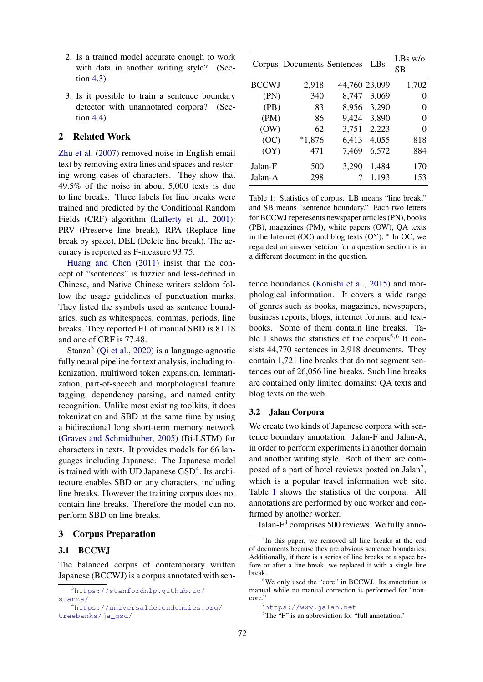- 2. Is a trained model accurate enough to work with data in another writing style? (Section [4.3](#page-3-0))
- 3. Is it possible to train a sentence boundary detector with unannotated corpora? (Section [4.4](#page-3-1))

## 2 Related Work

[Zhu et al.](#page-4-4) ([2007](#page-4-4)) removed noise in English email text by removing extra lines and spaces and restoring wrong cases of characters. They show that 49.5% of the noise in about 5,000 texts is due to line breaks. Three labels for line breaks were trained and predicted by the Conditional Random Fields (CRF) algorithm ([Lafferty et al.,](#page-4-5) [2001\)](#page-4-5): PRV (Preserve line break), RPA (Replace line break by space), DEL (Delete line break). The accuracy is reported as F-measure 93.75.

[Huang and Chen](#page-4-6) ([2011\)](#page-4-6) insist that the concept of "sentences" is fuzzier and less-defined in Chinese, and Native Chinese writers seldom follow the usage guidelines of punctuation marks. They listed the symbols used as sentence boundaries, such as whitespaces, commas, periods, line breaks. They reported F1 of manual SBD is 81.18 and one of CRF is 77.48.

Stanza<sup>3</sup> [\(Qi et al.,](#page-4-7) [2020](#page-4-7)) is a language-agnostic fully neural pipeline for text analysis, including tokenization, multiword token expansion, lemmatization, part-of-speech and morphological feature tagging, dependency parsing, and named entity recognition. Unlike most existing toolkits, it does tokenization and SBD at the same time by using a bidirectional long short-term memory network ([Graves and Schmidhuber,](#page-4-8) [2005](#page-4-8)) (Bi-LSTM) for characters in texts. It provides models for 66 languages including Japanese. The Japanese model is trained with with UD Japanese GSD<sup>4</sup>. Its architecture enables SBD on any characters, including line breaks. However the training corpus does not contain line breaks. Therefore the model can not perform SBD on line breaks.

## 3 Corpus Preparation

#### 3.1 BCCWJ

The balanced corpus of contemporary written Japanese (BCCWJ) is a corpus annotated with sen-

<span id="page-1-0"></span>

|              | Corpus Documents Sentences |       | LBs           | LBs w/o<br>SВ |
|--------------|----------------------------|-------|---------------|---------------|
| <b>BCCWJ</b> | 2,918                      |       | 44,760 23,099 | 1,702         |
| (PN)         | 340                        | 8,747 | 3,069         | 0             |
| (PB)         | 83                         | 8,956 | 3,290         | 0             |
| (PM)         | 86                         | 9,424 | 3,890         | 0             |
| (OW)         | 62                         | 3,751 | 2,223         | 0             |
| (OC)         | $*1,876$                   | 6,413 | 4,055         | 818           |
| (OY)         | 471                        | 7,469 | 6,572         | 884           |
| Jalan-F      | 500                        | 3,290 | 1.484         | 170           |
| Jalan-A      | 298                        | 7     | 1,193         | 153           |

Table 1: Statistics of corpus. LB means "line break," and SB means "sentence boundary." Each two letters for BCCWJ reperesents newspaper articles (PN), books (PB), magazines (PM), white papers (OW), QA texts in the Internet (OC) and blog texts (OY). *∗* In OC, we regarded an answer setcion for a question section is in a different document in the question.

tence boundaries [\(Konishi et al.](#page-4-9), [2015\)](#page-4-9) and morphological information. It covers a wide range of genres such as books, magazines, newspapers, business reports, blogs, internet forums, and textbooks. Some of them contain line breaks. Ta-ble [1](#page-1-0) shows the statistics of the corpus<sup>5,6</sup> It consists 44,770 sentences in 2,918 documents. They contain 1,721 line breaks that do not segment sentences out of 26,056 line breaks. Such line breaks are contained only limited domains: QA texts and blog texts on the web.

## 3.2 Jalan Corpora

We create two kinds of Japanese corpora with sentence boundary annotation: Jalan-F and Jalan-A, in order to perform experiments in another domain and another writing style. Both of them are composed of a part of hotel reviews posted on Jalan<sup>7</sup>, which is a popular travel information web site. Table [1](#page-1-0) shows the statistics of the corpora. All annotations are performed by one worker and confirmed by another worker.

Jalan- $F<sup>8</sup>$  comprises 500 reviews. We fully anno-

<sup>3</sup>[https://stanfordnlp.github.io/](https://stanfordnlp.github.io/stanza/) [stanza/](https://stanfordnlp.github.io/stanza/)

<sup>4</sup>[https://universaldependencies.org/](https://universaldependencies.org/treebanks/ja_gsd/) [treebanks/ja\\_gsd/](https://universaldependencies.org/treebanks/ja_gsd/)

<sup>&</sup>lt;sup>5</sup>In this paper, we removed all line breaks at the end of documents because they are obvious sentence boundaries. Additionally, if there is a series of line breaks or a space before or after a line break, we replaced it with a single line break.

<sup>&</sup>lt;sup>6</sup>We only used the "core" in BCCWJ. Its annotation is manual while no manual correction is performed for "noncore."

<sup>7</sup><https://www.jalan.net>

<sup>&</sup>lt;sup>8</sup>The "F" is an abbreviation for "full annotation."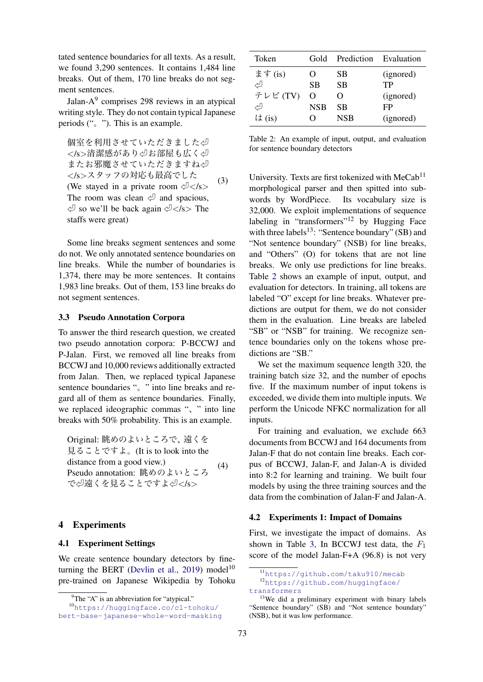tated sentence boundaries for all texts. As a result, we found 3,290 sentences. It contains 1,484 line breaks. Out of them, 170 line breaks do not segment sentences.

Jalan-A<sup>9</sup> comprises 298 reviews in an atypical writing style. They do not contain typical Japanese periods  $($ ",  $)$ "). This is an example.

個室を利用させていただきました少 *<*/s*>*清潔感があり㾑お部屋も広く㾑 またお邪魔させていただきますね少 *<*/s*>*スタッフの対応も最高でした (We stayed in a private room  $\sqrt{2}$  </s> The room was clean  $\Diamond$  and spacious, 㾑 so we'll be back again 㾑*<*/s*>* The staffs were great) (3)

Some line breaks segment sentences and some do not. We only annotated sentence boundaries on line breaks. While the number of boundaries is 1,374, there may be more sentences. It contains 1,983 line breaks. Out of them, 153 line breaks do not segment sentences.

## 3.3 Pseudo Annotation Corpora

To answer the third research question, we created two pseudo annotation corpora: P-BCCWJ and P-Jalan. First, we removed all line breaks from BCCWJ and 10,000 reviews additionally extracted from Jalan. Then, we replaced typical Japanese sentence boundaries ". " into line breaks and regard all of them as sentence boundaries. Finally, we replaced ideographic commas ", " into line breaks with 50% probability. This is an example.

Original: 眺めのよいところで、遠くを 見ることですよ。(It is to look into the distance from a good view.) Pseudo annotation: 眺めのよいところ で㾑遠くを見ることですよ㾑*<*/s*>* (4)

#### 4 Experiments

## 4.1 Experiment Settings

We create sentence boundary detectors by fine-turning the BERT ([Devlin et al.,](#page-4-10) [2019\)](#page-4-10) model<sup>10</sup> pre-trained on Japanese Wikipedia by Tohoku

<span id="page-2-1"></span>

| Token   | Gold       | Prediction Evaluation |           |
|---------|------------|-----------------------|-----------|
| ます(is)  | 0          | SВ                    | (ignored) |
| رلى     | SВ         | <b>SB</b>             | TР        |
| テレビ(TV) | O          | $\Omega$              | (ignored) |
| رلى     | <b>NSB</b> | <b>SB</b>             | FP        |
| は(is)   | 0          | <b>NSB</b>            | (ignored) |

Table 2: An example of input, output, and evaluation for sentence boundary detectors

University. Texts are first tokenized with  $MeCab<sup>11</sup>$ morphological parser and then spitted into subwords by WordPiece. Its vocabulary size is 32,000. We exploit implementations of sequence labeling in "transformers"<sup>12</sup> by Hugging Face with three labels $^{13}$ : "Sentence boundary" (SB) and "Not sentence boundary" (NSB) for line breaks, and "Others" (O) for tokens that are not line breaks. We only use predictions for line breaks. Table [2](#page-2-1) shows an example of input, output, and evaluation for detectors. In training, all tokens are labeled "O" except for line breaks. Whatever predictions are output for them, we do not consider them in the evaluation. Line breaks are labeled "SB" or "NSB" for training. We recognize sentence boundaries only on the tokens whose predictions are "SB."

We set the maximum sequence length 320, the training batch size 32, and the number of epochs five. If the maximum number of input tokens is exceeded, we divide them into multiple inputs. We perform the Unicode NFKC normalization for all inputs.

For training and evaluation, we exclude 663 documents from BCCWJ and 164 documents from Jalan-F that do not contain line breaks. Each corpus of BCCWJ, Jalan-F, and Jalan-A is divided into 8:2 for learning and training. We built four models by using the three training sources and the data from the combination of Jalan-F and Jalan-A.

#### <span id="page-2-0"></span>4.2 Experiments 1: Impact of Domains

First, we investigate the impact of domains. As shown in Table [3](#page-3-2), In BCCWJ test data, the *F*<sup>1</sup> score of the model Jalan-F+A (96.8) is not very

 ${}^{9}$ The "A" is an abbreviation for "atypical."

<sup>10</sup>[https://huggingface.co/cl-tohoku/](https://huggingface.co/cl-tohoku/bert-base-japanese-whole-word-masking) [bert-base-japanese-whole-word-masking](https://huggingface.co/cl-tohoku/bert-base-japanese-whole-word-masking)

<sup>11</sup><https://github.com/taku910/mecab> <sup>12</sup>[https://github.com/huggingface/](https://github.com/huggingface/transformers) [transformers](https://github.com/huggingface/transformers)

<sup>&</sup>lt;sup>13</sup>We did a preliminary experiment with binary labels "Sentence boundary" (SB) and "Not sentence boundary" (NSB), but it was low performance.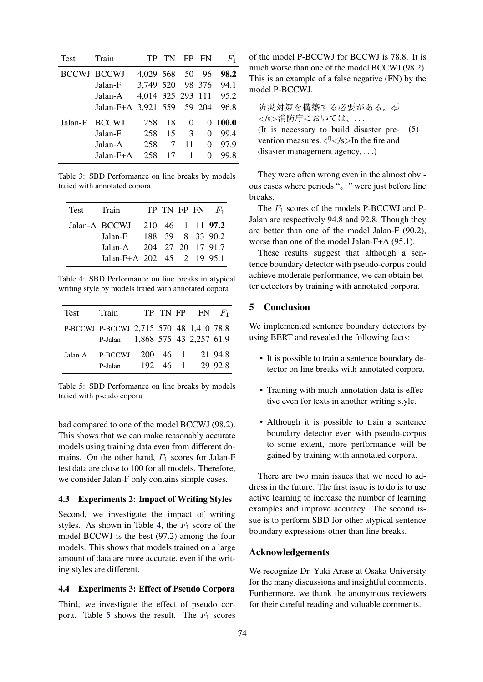<span id="page-3-2"></span>

| Test    | Train                      |                        | TP TN |                | FP FN | $F_1$     |
|---------|----------------------------|------------------------|-------|----------------|-------|-----------|
|         | BCCWJ BCCWJ                | 4,029 568 50 96        |       |                |       | 98.2      |
|         | Jalan-F                    | 3,749 520 98 376       |       |                |       | 94.1      |
|         | Jalan-A                    | 4,014 325 293 111 95.2 |       |                |       |           |
|         | Jalan-F+A 3,921 559 59 204 |                        |       |                |       | 96.8      |
| Jalan-F | <b>BCCWJ</b>               | 258                    | 18    | $\Omega$       |       | $0$ 100.0 |
|         | Jalan-F                    | 258                    | 15    | 3 <sup>7</sup> | 0     | 99.4      |
|         | Jalan-A                    | 258                    | 7     | 11             | 0     | 97.9      |
|         | Jalan-F+A                  | 258                    | 17    | 1              | 0     | 99.8      |

Table 3: SBD Performance on line breaks by models traied with annotated copora

<span id="page-3-3"></span>

| Test | Train                      |  |  | TP TN FP FN $F_1$ |
|------|----------------------------|--|--|-------------------|
|      | Jalan-A BCCWJ              |  |  | 210 46 1 11 97.2  |
|      | Jalan-F                    |  |  | 188 39 8 33 90.2  |
|      | Jalan-A 204 27 20 17 91.7  |  |  |                   |
|      | Jalan-F+A 202 45 2 19 95.1 |  |  |                   |

Table 4: SBD Performance on line breaks in atypical writing style by models traied with annotated copora

<span id="page-3-4"></span>

| Test    | Train                                   |          | TP TN FP FN $F_1$ |         |
|---------|-----------------------------------------|----------|-------------------|---------|
|         | P-BCCWJ P-BCCWJ 2,715 570 48 1,410 78.8 |          |                   |         |
|         | P-Jalan 1,868 575 43 2,257 61.9         |          |                   |         |
| Jalan-A | P-BCCWJ                                 | 200 46 1 |                   | 21 94.8 |
|         | P-Jalan                                 | 192 46 1 |                   | 29 92.8 |
|         |                                         |          |                   |         |

Table 5: SBD Performance on line breaks by models traied with pseudo copora

bad compared to one of the model BCCWJ (98.2). This shows that we can make reasonably accurate models using training data even from different domains. On the other hand, *F*<sup>1</sup> scores for Jalan-F test data are close to 100 for all models. Therefore, we consider Jalan-F only contains simple cases.

## <span id="page-3-0"></span>4.3 Experiments 2: Impact of Writing Styles

Second, we investigate the impact of writing styles. As shown in Table [4,](#page-3-3) the  $F_1$  score of the model BCCWJ is the best (97.2) among the four models. This shows that models trained on a large amount of data are more accurate, even if the writing styles are different.

## <span id="page-3-1"></span>4.4 Experiments 3: Effect of Pseudo Corpora

Third, we investigate the effect of pseudo cor-pora. Table [5](#page-3-4) shows the result. The  $F_1$  scores of the model P-BCCWJ for BCCWJ is 78.8. It is much worse than one of the model BCCWJ (98.2). This is an example of a false negative (FN) by the model P-BCCWJ.

防災対策を構築する必要がある。少 *<*/s*>*消防庁においては、*. . .* (It is necessary to build disaster prevention measures. 㾑*<*/s*>*In the fire and disaster management agency, *. . .*) (5)

They were often wrong even in the almost obvious cases where periods "。" were just before line breaks.

The *F*<sup>1</sup> scores of the models P-BCCWJ and P-Jalan are respectively 94.8 and 92.8. Though they are better than one of the model Jalan-F (90.2), worse than one of the model Jalan-F+A (95.1).

These results suggest that although a sentence boundary detector with pseudo-corpus could achieve moderate performance, we can obtain better detectors by training with annotated corpora.

## 5 Conclusion

We implemented sentence boundary detectors by using BERT and revealed the following facts:

- It is possible to train a sentence boundary detector on line breaks with annotated corpora.
- Training with much annotation data is effective even for texts in another writing style.
- Although it is possible to train a sentence boundary detector even with pseudo-corpus to some extent, more performance will be gained by training with annotated corpora.

There are two main issues that we need to address in the future. The first issue is to do is to use active learning to increase the number of learning examples and improve accuracy. The second issue is to perform SBD for other atypical sentence boundary expressions other than line breaks.

## Acknowledgements

We recognize Dr. Yuki Arase at Osaka University for the many discussions and insightful comments. Furthermore, we thank the anonymous reviewers for their careful reading and valuable comments.